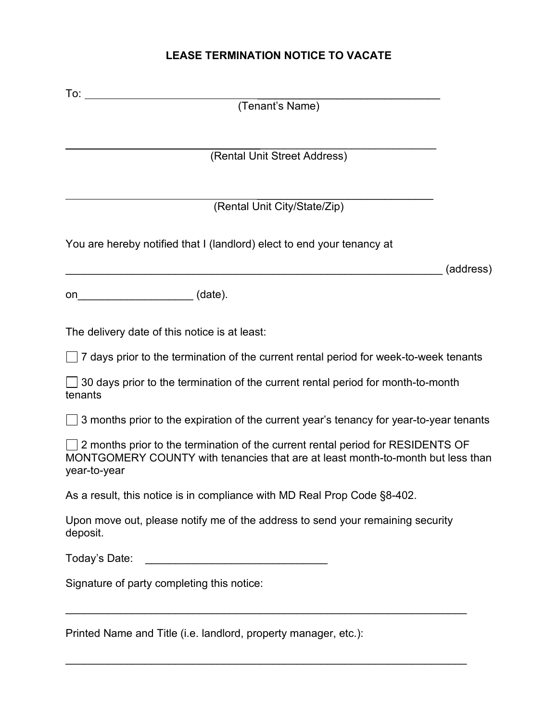# **LEASE TERMINATION NOTICE TO VACATE**

| To: $\frac{1}{\sqrt{1-\frac{1}{2}}\cdot\frac{1}{2}}$                                                                                                                                      |           |
|-------------------------------------------------------------------------------------------------------------------------------------------------------------------------------------------|-----------|
| (Tenant's Name)                                                                                                                                                                           |           |
|                                                                                                                                                                                           |           |
| (Rental Unit Street Address)                                                                                                                                                              |           |
|                                                                                                                                                                                           |           |
| (Rental Unit City/State/Zip)                                                                                                                                                              |           |
| You are hereby notified that I (landlord) elect to end your tenancy at                                                                                                                    |           |
|                                                                                                                                                                                           | (address) |
|                                                                                                                                                                                           |           |
| on_________________________(date).                                                                                                                                                        |           |
| The delivery date of this notice is at least:                                                                                                                                             |           |
| $\Box$ 7 days prior to the termination of the current rental period for week-to-week tenants                                                                                              |           |
| $\Box$ 30 days prior to the termination of the current rental period for month-to-month<br>tenants                                                                                        |           |
| $\Box$ 3 months prior to the expiration of the current year's tenancy for year-to-year tenants                                                                                            |           |
| $\Box$ 2 months prior to the termination of the current rental period for RESIDENTS OF<br>MONTGOMERY COUNTY with tenancies that are at least month-to-month but less than<br>year-to-year |           |
| As a result, this notice is in compliance with MD Real Prop Code §8-402.                                                                                                                  |           |
| Upon move out, please notify me of the address to send your remaining security<br>deposit.                                                                                                |           |
| Today's Date:                                                                                                                                                                             |           |
| Signature of party completing this notice:                                                                                                                                                |           |
| Printed Name and Title (i.e. landlord, property manager, etc.):                                                                                                                           |           |

\_\_\_\_\_\_\_\_\_\_\_\_\_\_\_\_\_\_\_\_\_\_\_\_\_\_\_\_\_\_\_\_\_\_\_\_\_\_\_\_\_\_\_\_\_\_\_\_\_\_\_\_\_\_\_\_\_\_\_\_\_\_\_\_\_\_